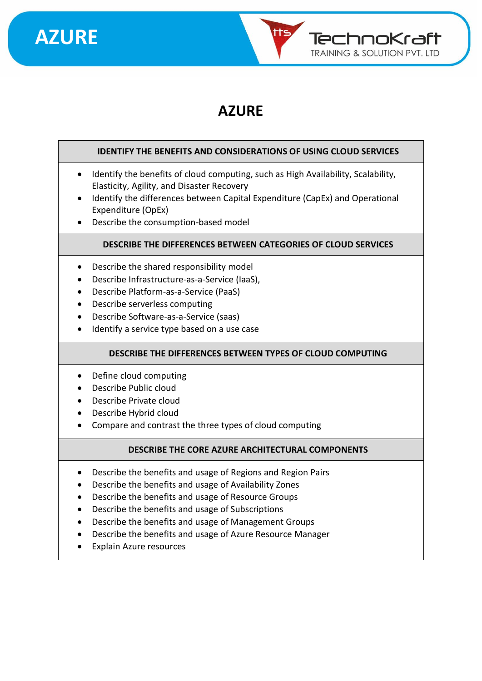



### **AZURE**

#### **IDENTIFY THE BENEFITS AND CONSIDERATIONS OF USING CLOUD SERVICES**

- Identify the benefits of cloud computing, such as High Availability, Scalability, Elasticity, Agility, and Disaster Recovery
- Identify the differences between Capital Expenditure (CapEx) and Operational Expenditure (OpEx)
- Describe the consumption-based model

#### **DESCRIBE THE DIFFERENCES BETWEEN CATEGORIES OF CLOUD SERVICES**

- Describe the shared responsibility model
- Describe Infrastructure-as-a-Service (IaaS),
- Describe Platform-as-a-Service (PaaS)
- Describe serverless computing
- Describe Software-as-a-Service (saas)
- Identify a service type based on a use case

#### **DESCRIBE THE DIFFERENCES BETWEEN TYPES OF CLOUD COMPUTING**

- Define cloud computing
- Describe Public cloud
- Describe Private cloud
- Describe Hybrid cloud
- Compare and contrast the three types of cloud computing

#### **DESCRIBE THE CORE AZURE ARCHITECTURAL COMPONENTS**

- Describe the benefits and usage of Regions and Region Pairs
- Describe the benefits and usage of Availability Zones
- Describe the benefits and usage of Resource Groups
- Describe the benefits and usage of Subscriptions
- Describe the benefits and usage of Management Groups
- Describe the benefits and usage of Azure Resource Manager
- Explain Azure resources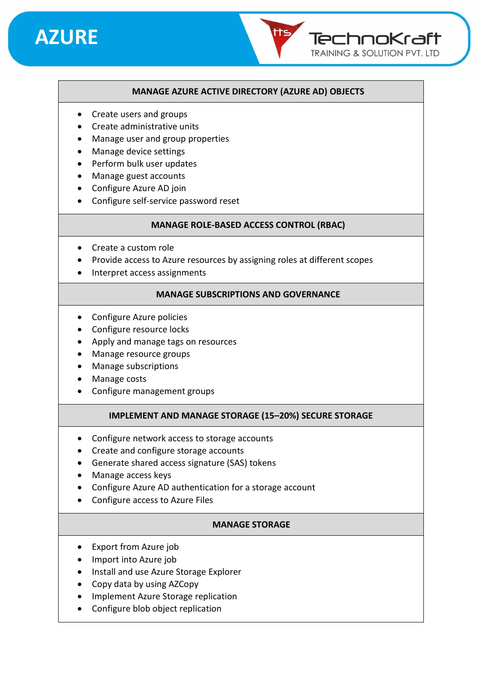## **AZURE**

#### **MANAGE AZURE ACTIVE DIRECTORY (AZURE AD) OBJECTS**

TechnoKraft **TRAINING & SOLUTION PVT. LTD** 

- Create users and groups
- Create administrative units
- Manage user and group properties
- Manage device settings
- Perform bulk user updates
- Manage guest accounts
- Configure Azure AD join
- Configure self-service password reset

#### **MANAGE ROLE-BASED ACCESS CONTROL (RBAC)**

- Create a custom role
- Provide access to Azure resources by assigning roles at different scopes
- Interpret access assignments

#### **MANAGE SUBSCRIPTIONS AND GOVERNANCE**

- Configure Azure policies
- Configure resource locks
- Apply and manage tags on resources
- Manage resource groups
- Manage subscriptions
- Manage costs
- Configure management groups

#### **IMPLEMENT AND MANAGE STORAGE (15–20%) SECURE STORAGE**

- Configure network access to storage accounts
- Create and configure storage accounts
- Generate shared access signature (SAS) tokens
- Manage access keys
- Configure Azure AD authentication for a storage account
- Configure access to Azure Files

#### **MANAGE STORAGE**

- Export from Azure job
- Import into Azure job
- Install and use Azure Storage Explorer
- Copy data by using AZCopy
- Implement Azure Storage replication
- Configure blob object replication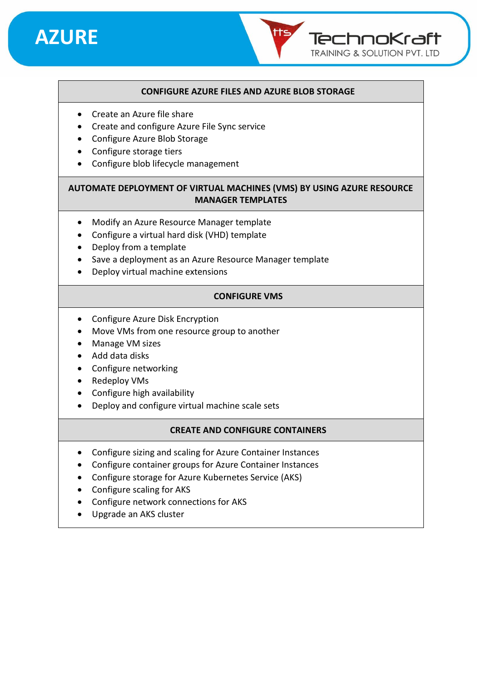

#### **CONFIGURE AZURE FILES AND AZURE BLOB STORAGE**

TechnoKraft **TRAINING & SOLUTION PVT. LTD** 

- Create an Azure file share
- Create and configure Azure File Sync service
- Configure Azure Blob Storage
- Configure storage tiers
- Configure blob lifecycle management

#### **AUTOMATE DEPLOYMENT OF VIRTUAL MACHINES (VMS) BY USING AZURE RESOURCE MANAGER TEMPLATES**

- Modify an Azure Resource Manager template
- Configure a virtual hard disk (VHD) template
- Deploy from a template
- Save a deployment as an Azure Resource Manager template
- Deploy virtual machine extensions

#### **CONFIGURE VMS**

- Configure Azure Disk Encryption
- Move VMs from one resource group to another
- Manage VM sizes
- Add data disks
- Configure networking
- Redeploy VMs
- Configure high availability
- Deploy and configure virtual machine scale sets

#### **CREATE AND CONFIGURE CONTAINERS**

- Configure sizing and scaling for Azure Container Instances
- Configure container groups for Azure Container Instances
- Configure storage for Azure Kubernetes Service (AKS)
- Configure scaling for AKS
- Configure network connections for AKS
- Upgrade an AKS cluster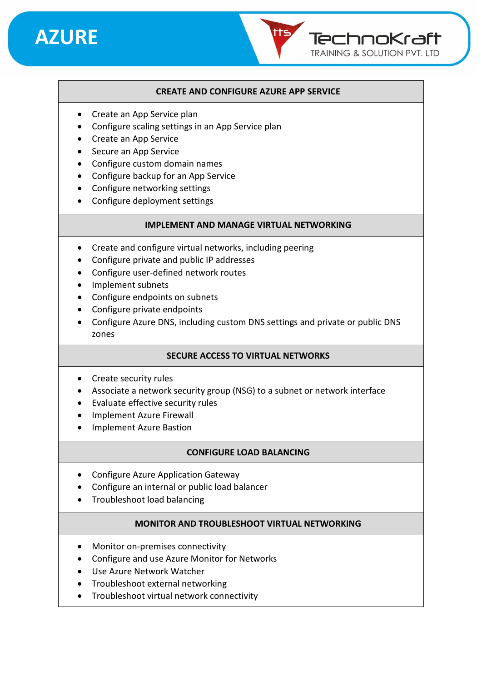

#### **CREATE AND CONFIGURE AZURE APP SERVICE**

TechnoKraft **TRAINING & SOLUTION PVT. LTD** 

- Create an App Service plan
- Configure scaling settings in an App Service plan
- Create an App Service
- Secure an App Service
- Configure custom domain names
- Configure backup for an App Service
- Configure networking settings
- Configure deployment settings

#### **IMPLEMENT AND MANAGE VIRTUAL NETWORKING**

- Create and configure virtual networks, including peering
- Configure private and public IP addresses
- Configure user-defined network routes
- Implement subnets
- Configure endpoints on subnets
- Configure private endpoints
- Configure Azure DNS, including custom DNS settings and private or public DNS zones

#### **SECURE ACCESS TO VIRTUAL NETWORKS**

- Create security rules
- Associate a network security group (NSG) to a subnet or network interface
- Evaluate effective security rules
- Implement Azure Firewall
- Implement Azure Bastion

#### **CONFIGURE LOAD BALANCING**

- Configure Azure Application Gateway
- Configure an internal or public load balancer
- Troubleshoot load balancing

#### **MONITOR AND TROUBLESHOOT VIRTUAL NETWORKING**

- Monitor on-premises connectivity
- Configure and use Azure Monitor for Networks
- Use Azure Network Watcher
- Troubleshoot external networking
- Troubleshoot virtual network connectivity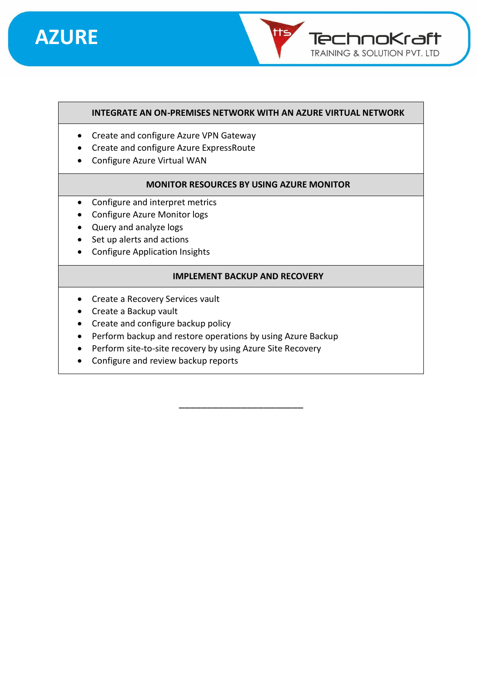## **AZURE**



#### **INTEGRATE AN ON-PREMISES NETWORK WITH AN AZURE VIRTUAL NETWORK**

- Create and configure Azure VPN Gateway
- Create and configure Azure ExpressRoute
- Configure Azure Virtual WAN

#### **MONITOR RESOURCES BY USING AZURE MONITOR**

- Configure and interpret metrics
- Configure Azure Monitor logs
- Query and analyze logs
- Set up alerts and actions
- Configure Application Insights

#### **IMPLEMENT BACKUP AND RECOVERY**

- Create a Recovery Services vault
- Create a Backup vault
- Create and configure backup policy
- Perform backup and restore operations by using Azure Backup
- Perform site-to-site recovery by using Azure Site Recovery
- Configure and review backup reports

\_\_\_\_\_\_\_\_\_\_\_\_\_\_\_\_\_\_\_\_\_\_